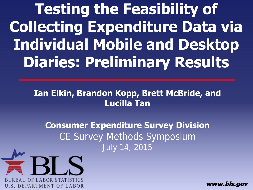**Testing the Feasibility of Collecting Expenditure Data via Individual Mobile and Desktop Diaries: Preliminary Results**

#### **Ian Elkin, Brandon Kopp, Brett McBride, and Lucilla Tan**

**Consumer Expenditure Survey Division** CE Survey Methods Symposium July 14, 2015



www.bls.aov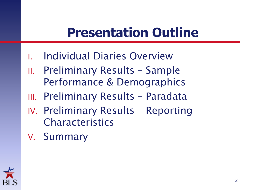#### **Presentation Outline**

- I. Individual Diaries Overview
- II. Preliminary Results Sample Performance & Demographics
- III. Preliminary Results Paradata
- IV. Preliminary Results Reporting **Characteristics**
- V. Summary

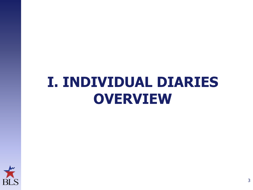# **I. INDIVIDUAL DIARIES OVERVIEW**

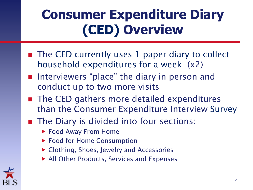# **Consumer Expenditure Diary (CED) Overview**

- The CED currently uses 1 paper diary to collect household expenditures for a week (x2)
- Interviewers "place" the diary in-person and conduct up to two more visits
- The CED gathers more detailed expenditures than the Consumer Expenditure Interview Survey
- The Diary is divided into four sections:
	- ▶ Food Away From Home
	- ▶ Food for Home Consumption
	- Clothing, Shoes, Jewelry and Accessories
	- ▶ All Other Products, Services and Expenses

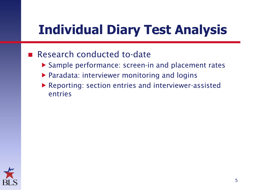### **Individual Diary Test Analysis**

#### Research conducted to-date

- ▶ Sample performance: screen-in and placement rates
- ▶ Paradata: interviewer monitoring and logins
- Reporting: section entries and interviewer-assisted entries

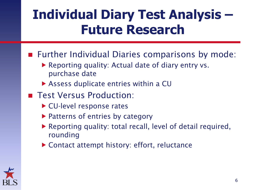#### **Individual Diary Test Analysis – Future Research**

- Further Individual Diaries comparisons by mode:
	- ▶ Reporting quality: Actual date of diary entry vs. purchase date
	- ▶ Assess duplicate entries within a CU
- **Test Versus Production:** 
	- ▶ CU-level response rates
	- ▶ Patterns of entries by category
	- Reporting quality: total recall, level of detail required, rounding
	- ▶ Contact attempt history: effort, reluctance

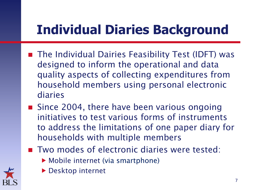# **Individual Diaries Background**

- The Individual Dairies Feasibility Test (IDFT) was designed to inform the operational and data quality aspects of collecting expenditures from household members using personal electronic diaries
- Since 2004, there have been various ongoing initiatives to test various forms of instruments to address the limitations of one paper diary for households with multiple members
- Two modes of electronic diaries were tested:
	- ▶ Mobile internet (via smartphone)



**Desktop internet**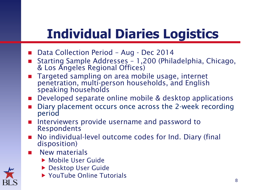# **Individual Diaries Logistics**

- Data Collection Period Aug Dec 2014
- Starting Sample Addresses 1,200 (Philadelphia, Chicago, & Los Angeles Regional Offices)
- Targeted sampling on area mobile usage, internet penetration, multi-person households, and English speaking households
- Developed separate online mobile & desktop applications
- Diary placement occurs once across the 2-week recording period
- **Interviewers provide username and password to** Respondents
- No individual-level outcome codes for Ind. Diary (final disposition)
- New materials
	- Mobile User Guide
	- ▶ Desktop User Guide
	- ▶ YouTube Online Tutorials

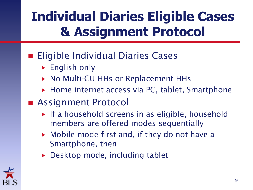# **Individual Diaries Eligible Cases & Assignment Protocol**

#### **Eligible Individual Diaries Cases**

- **English only**
- ▶ No Multi-CU HHs or Replacement HHs
- ▶ Home internet access via PC, tablet, Smartphone
- Assignment Protocol
	- $\triangleright$  If a household screens in as eligible, household members are offered modes sequentially
	- ▶ Mobile mode first and, if they do not have a Smartphone, then
	- ▶ Desktop mode, including tablet

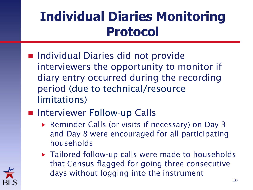### **Individual Diaries Monitoring Protocol**

- Individual Diaries did not provide interviewers the opportunity to monitor if diary entry occurred during the recording period (due to technical/resource limitations)
- Interviewer Follow-up Calls
	- ▶ Reminder Calls (or visits if necessary) on Day 3 and Day 8 were encouraged for all participating households
	- ▶ Tailored follow-up calls were made to households that Census flagged for going three consecutive days without logging into the instrument

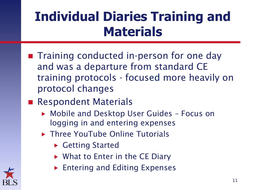## **Individual Diaries Training and Materials**

- **The Training conducted in-person for one day** and was a departure from standard CE training protocols - focused more heavily on protocol changes
- Respondent Materials
	- Mobile and Desktop User Guides Focus on logging in and entering expenses
	- ▶ Three YouTube Online Tutorials
		- ▶ Getting Started
		- ▶ What to Enter in the CE Diary
		- **Entering and Editing Expenses**

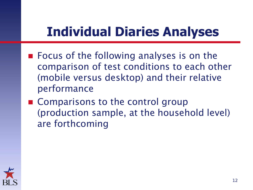#### **Individual Diaries Analyses**

- Focus of the following analyses is on the comparison of test conditions to each other (mobile versus desktop) and their relative performance
- Comparisons to the control group (production sample, at the household level) are forthcoming

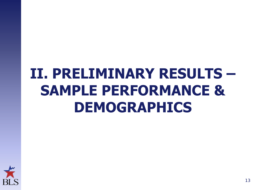# **II. PRELIMINARY RESULTS – SAMPLE PERFORMANCE & DEMOGRAPHICS**

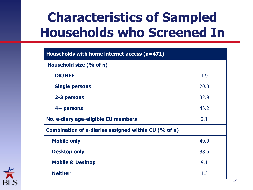### **Characteristics of Sampled Households who Screened In**

| Households with home internet access (n=471)         |      |  |
|------------------------------------------------------|------|--|
| Household size (% of n)                              |      |  |
| <b>DK/REF</b>                                        | 1.9  |  |
| <b>Single persons</b>                                | 20.0 |  |
| 2-3 persons                                          | 32.9 |  |
| 4+ persons                                           | 45.2 |  |
| No. e-diary age-eligible CU members                  | 2.1  |  |
| Combination of e-diaries assigned within CU (% of n) |      |  |
| <b>Mobile only</b>                                   | 49.0 |  |
| <b>Desktop only</b>                                  | 38.6 |  |
| <b>Mobile &amp; Desktop</b>                          | 9.1  |  |
| <b>Neither</b>                                       | 1.3  |  |

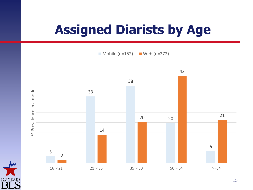## **Assigned Diarists by Age**

 $\Box$  Mobile (n=152)  $\Box$  Web (n=272)



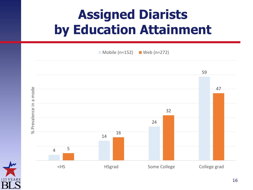# **Assigned Diarists by Education Attainment**

 $\blacksquare$  Mobile (n=152)  $\blacksquare$  Web (n=272)



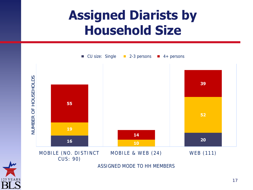#### **Assigned Diarists by Household Size**



CUS: 90)

ASSIGNED MODE TO HH MEMBERS

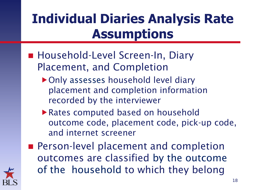## **Individual Diaries Analysis Rate Assumptions**

- Household-Level Screen-In, Diary Placement, and Completion
	- ▶ Only assesses household level diary placement and completion information recorded by the interviewer
	- Rates computed based on household outcome code, placement code, pick-up code, and internet screener
- **Person-level placement and completion** outcomes are classified by the outcome of the household to which they belong

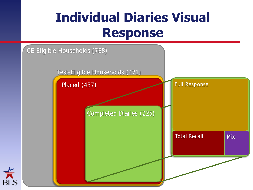#### **Individual Diaries Visual Response**

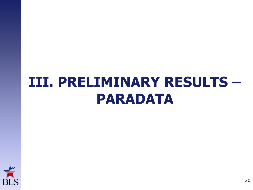# **III. PRELIMINARY RESULTS – PARADATA**

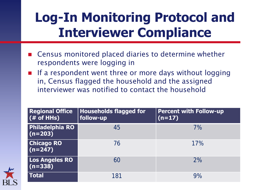#### **Log-In Monitoring Protocol and Interviewer Compliance**

- Census monitored placed diaries to determine whether respondents were logging in
- If a respondent went three or more days without logging in, Census flagged the household and the assigned interviewer was notified to contact the household

| <b>Regional Office</b><br>$($ # of HHs) | <b>Households flagged for</b><br>follow-up | <b>Percent with Follow-up</b><br>$(n=17)$ |
|-----------------------------------------|--------------------------------------------|-------------------------------------------|
| <b>Philadelphia RO</b><br>$(n=203)$     | 45                                         | 7%                                        |
| <b>Chicago RO</b><br>$(n=247)$          | 76                                         | 17%                                       |
| Los Angeles RO<br>$(n=338)$             | 60                                         | 2%                                        |
| <b>Total</b>                            | 181                                        | 9%                                        |

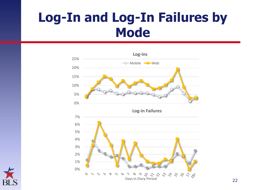#### **Log-In and Log-In Failures by Mode**





22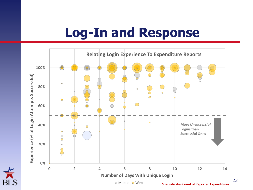#### **Log-In and Response**



23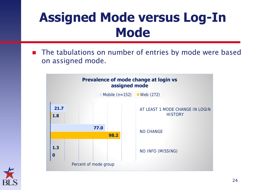#### **Assigned Mode versus Log-In Mode**

■ The tabulations on number of entries by mode were based on assigned mode.



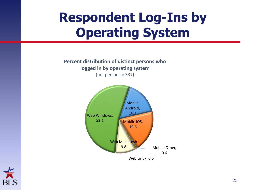### **Respondent Log-Ins by Operating System**

**Percent distribution of distinct persons who logged in by operating system**  (no. persons = 337)



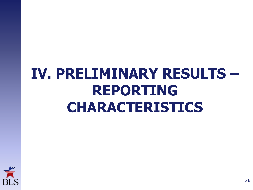# **IV. PRELIMINARY RESULTS – REPORTING CHARACTERISTICS**

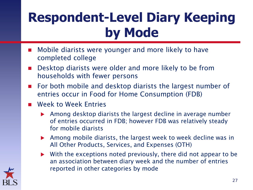# **Respondent-Level Diary Keeping by Mode**

- **Mobile diarists were younger and more likely to have** completed college
- **Desktop diarists were older and more likely to be from** households with fewer persons
- **For both mobile and desktop diarists the largest number of** entries occur in Food for Home Consumption (FDB)
- **Neek to Week Entries** 
	- Among desktop diarists the largest decline in average number of entries occurred in FDB; however FDB was relatively steady for mobile diarists
	- Among mobile diarists, the largest week to week decline was in All Other Products, Services, and Expenses (OTH)
	- With the exceptions noted previously, there did not appear to be an association between diary week and the number of entries reported in other categories by mode

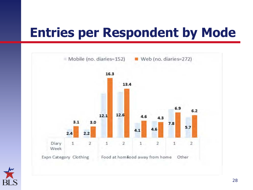#### **Entries per Respondent by Mode**



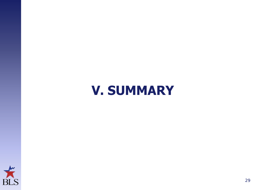#### **V. SUMMARY**

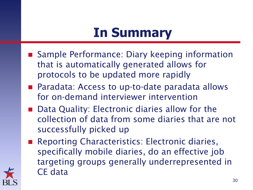#### **In Summary**

- Sample Performance: Diary keeping information that is automatically generated allows for protocols to be updated more rapidly
- Paradata: Access to up-to-date paradata allows for on-demand interviewer intervention
- Data Quality: Electronic diaries allow for the collection of data from some diaries that are not successfully picked up
- Reporting Characteristics: Electronic diaries, specifically mobile diaries, do an effective job targeting groups generally underrepresented in CE data